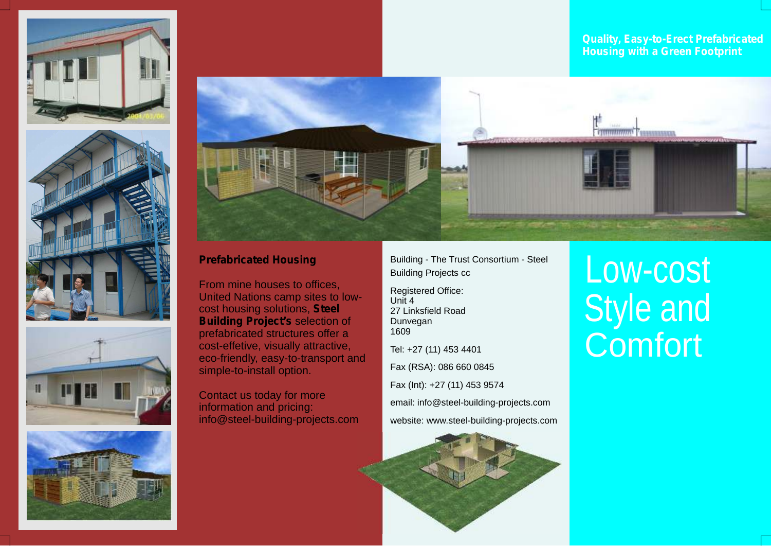









## **Prefabricated Housing**

From mine houses to offices, United Nations camp sites to lowcost housing solutions, **Steel Building Project's** selection of prefabricated structures offer a cost-effetive, visually attractive, eco-friendly, easy-to-transport and simple-to-install option.

Contact us today for more information and pricing: info@steel-building-projects.com Building - The Trust Consortium - Steel Building Projects cc

Registered Office:  $Unif 4$ 27 Linksfield Road Dunvegan 1609

Tel: +27 (11) 453 4401

Fax (RSA): 086 660 0845

Fax (Int): +27 (11) 453 9574

email: info@steel-building-projects.com website: www.steel-building-projects.com



## Low-cost Style and **Comfort**

*Quality, Easy-to-Erect Prefabricated Housing with a Green Footprint*